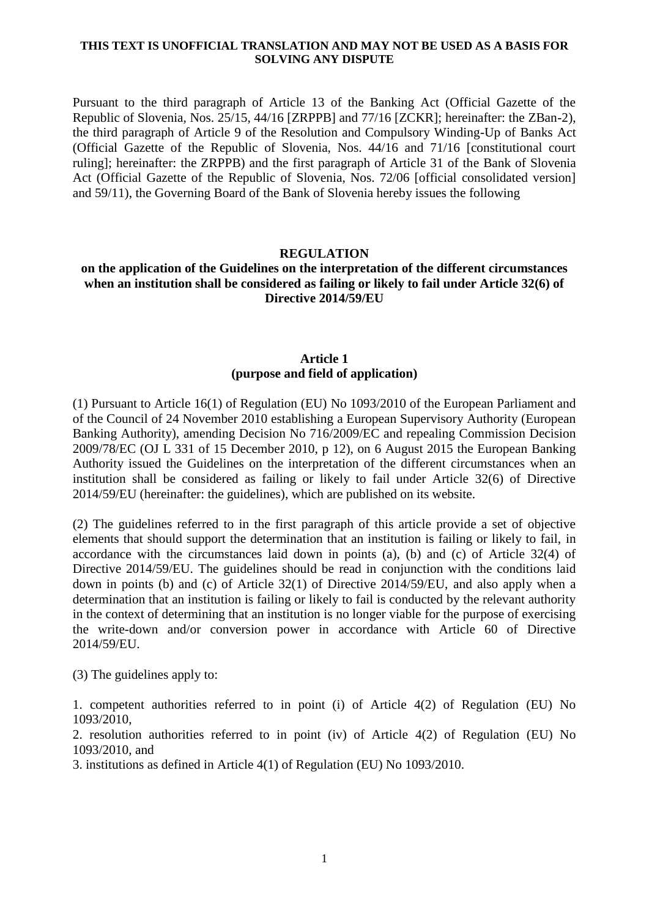### **THIS TEXT IS UNOFFICIAL TRANSLATION AND MAY NOT BE USED AS A BASIS FOR SOLVING ANY DISPUTE**

Pursuant to the third paragraph of Article 13 of the Banking Act (Official Gazette of the Republic of Slovenia, Nos. 25/15, 44/16 [ZRPPB] and 77/16 [ZCKR]; hereinafter: the ZBan-2), the third paragraph of Article 9 of the Resolution and Compulsory Winding-Up of Banks Act (Official Gazette of the Republic of Slovenia, Nos. 44/16 and 71/16 [constitutional court ruling]; hereinafter: the ZRPPB) and the first paragraph of Article 31 of the Bank of Slovenia Act (Official Gazette of the Republic of Slovenia, Nos. 72/06 [official consolidated version] and 59/11), the Governing Board of the Bank of Slovenia hereby issues the following

### **REGULATION**

## **on the application of the Guidelines on the interpretation of the different circumstances when an institution shall be considered as failing or likely to fail under Article 32(6) of Directive 2014/59/EU**

## **Article 1 (purpose and field of application)**

(1) Pursuant to Article 16(1) of Regulation (EU) No 1093/2010 of the European Parliament and of the Council of 24 November 2010 establishing a European Supervisory Authority (European Banking Authority), amending Decision No 716/2009/EC and repealing Commission Decision 2009/78/EC (OJ L 331 of 15 December 2010, p 12), on 6 August 2015 the European Banking Authority issued the Guidelines on the interpretation of the different circumstances when an institution shall be considered as failing or likely to fail under Article 32(6) of Directive 2014/59/EU (hereinafter: the guidelines), which are published on its website.

(2) The guidelines referred to in the first paragraph of this article provide a set of objective elements that should support the determination that an institution is failing or likely to fail, in accordance with the circumstances laid down in points (a), (b) and (c) of Article 32(4) of Directive 2014/59/EU. The guidelines should be read in conjunction with the conditions laid down in points (b) and (c) of Article 32(1) of Directive 2014/59/EU, and also apply when a determination that an institution is failing or likely to fail is conducted by the relevant authority in the context of determining that an institution is no longer viable for the purpose of exercising the write-down and/or conversion power in accordance with Article 60 of Directive 2014/59/EU.

(3) The guidelines apply to:

1. competent authorities referred to in point (i) of Article 4(2) of Regulation (EU) No 1093/2010,

2. resolution authorities referred to in point (iv) of Article 4(2) of Regulation (EU) No 1093/2010, and

3. institutions as defined in Article 4(1) of Regulation (EU) No 1093/2010.